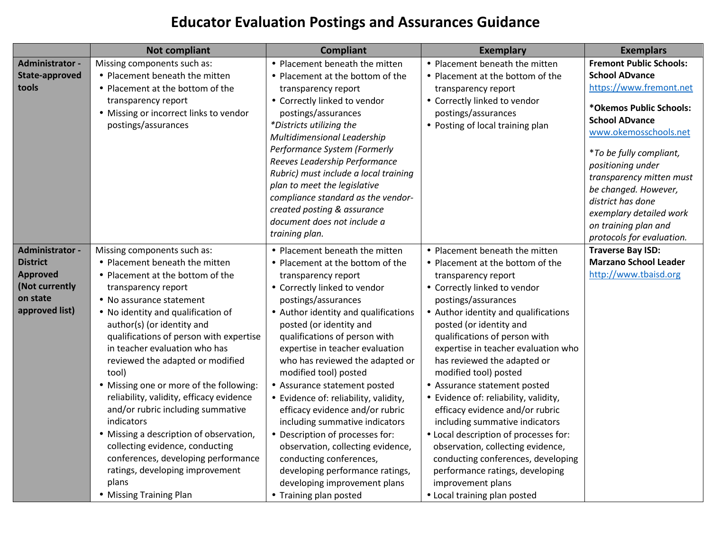## **Educator Evaluation Postings and Assurances Guidance**

|                                                                                                              | <b>Not compliant</b>                                                                                                                                                                                                                                                                                                                                                                                                                                                                                                                                                                                                                                                                    | <b>Compliant</b>                                                                                                                                                                                                                                                                                                                                                                                                                                                                                                                                                                                                                                                                                  | <b>Exemplary</b>                                                                                                                                                                                                                                                                                                                                                                                                                                                                                                                                                                                                                                                                                              | <b>Exemplars</b>                                                                                                                                                                                                                                                                                                                                                                |
|--------------------------------------------------------------------------------------------------------------|-----------------------------------------------------------------------------------------------------------------------------------------------------------------------------------------------------------------------------------------------------------------------------------------------------------------------------------------------------------------------------------------------------------------------------------------------------------------------------------------------------------------------------------------------------------------------------------------------------------------------------------------------------------------------------------------|---------------------------------------------------------------------------------------------------------------------------------------------------------------------------------------------------------------------------------------------------------------------------------------------------------------------------------------------------------------------------------------------------------------------------------------------------------------------------------------------------------------------------------------------------------------------------------------------------------------------------------------------------------------------------------------------------|---------------------------------------------------------------------------------------------------------------------------------------------------------------------------------------------------------------------------------------------------------------------------------------------------------------------------------------------------------------------------------------------------------------------------------------------------------------------------------------------------------------------------------------------------------------------------------------------------------------------------------------------------------------------------------------------------------------|---------------------------------------------------------------------------------------------------------------------------------------------------------------------------------------------------------------------------------------------------------------------------------------------------------------------------------------------------------------------------------|
| <b>Administrator -</b><br><b>State-approved</b><br>tools                                                     | Missing components such as:<br>• Placement beneath the mitten<br>• Placement at the bottom of the<br>transparency report<br>• Missing or incorrect links to vendor<br>postings/assurances                                                                                                                                                                                                                                                                                                                                                                                                                                                                                               | • Placement beneath the mitten<br>• Placement at the bottom of the<br>transparency report<br>• Correctly linked to vendor<br>postings/assurances<br>*Districts utilizing the<br>Multidimensional Leadership<br>Performance System (Formerly<br>Reeves Leadership Performance<br>Rubric) must include a local training<br>plan to meet the legislative<br>compliance standard as the vendor-<br>created posting & assurance<br>document does not include a<br>training plan.                                                                                                                                                                                                                       | • Placement beneath the mitten<br>• Placement at the bottom of the<br>transparency report<br>• Correctly linked to vendor<br>postings/assurances<br>• Posting of local training plan                                                                                                                                                                                                                                                                                                                                                                                                                                                                                                                          | <b>Fremont Public Schools:</b><br><b>School ADvance</b><br>https://www.fremont.net<br>*Okemos Public Schools:<br><b>School ADvance</b><br>www.okemosschools.net<br><i>*To be fully compliant,</i><br>positioning under<br>transparency mitten must<br>be changed. However,<br>district has done<br>exemplary detailed work<br>on training plan and<br>protocols for evaluation. |
| <b>Administrator -</b><br><b>District</b><br><b>Approved</b><br>(Not currently<br>on state<br>approved list) | Missing components such as:<br>• Placement beneath the mitten<br>• Placement at the bottom of the<br>transparency report<br>• No assurance statement<br>• No identity and qualification of<br>author(s) (or identity and<br>qualifications of person with expertise<br>in teacher evaluation who has<br>reviewed the adapted or modified<br>tool)<br>• Missing one or more of the following:<br>reliability, validity, efficacy evidence<br>and/or rubric including summative<br>indicators<br>• Missing a description of observation,<br>collecting evidence, conducting<br>conferences, developing performance<br>ratings, developing improvement<br>plans<br>• Missing Training Plan | • Placement beneath the mitten<br>• Placement at the bottom of the<br>transparency report<br>• Correctly linked to vendor<br>postings/assurances<br>• Author identity and qualifications<br>posted (or identity and<br>qualifications of person with<br>expertise in teacher evaluation<br>who has reviewed the adapted or<br>modified tool) posted<br>• Assurance statement posted<br>• Evidence of: reliability, validity,<br>efficacy evidence and/or rubric<br>including summative indicators<br>• Description of processes for:<br>observation, collecting evidence,<br>conducting conferences,<br>developing performance ratings,<br>developing improvement plans<br>• Training plan posted | • Placement beneath the mitten<br>• Placement at the bottom of the<br>transparency report<br>• Correctly linked to vendor<br>postings/assurances<br>• Author identity and qualifications<br>posted (or identity and<br>qualifications of person with<br>expertise in teacher evaluation who<br>has reviewed the adapted or<br>modified tool) posted<br>• Assurance statement posted<br>• Evidence of: reliability, validity,<br>efficacy evidence and/or rubric<br>including summative indicators<br>• Local description of processes for:<br>observation, collecting evidence,<br>conducting conferences, developing<br>performance ratings, developing<br>improvement plans<br>• Local training plan posted | <b>Traverse Bay ISD:</b><br><b>Marzano School Leader</b><br>http://www.tbaisd.org                                                                                                                                                                                                                                                                                               |